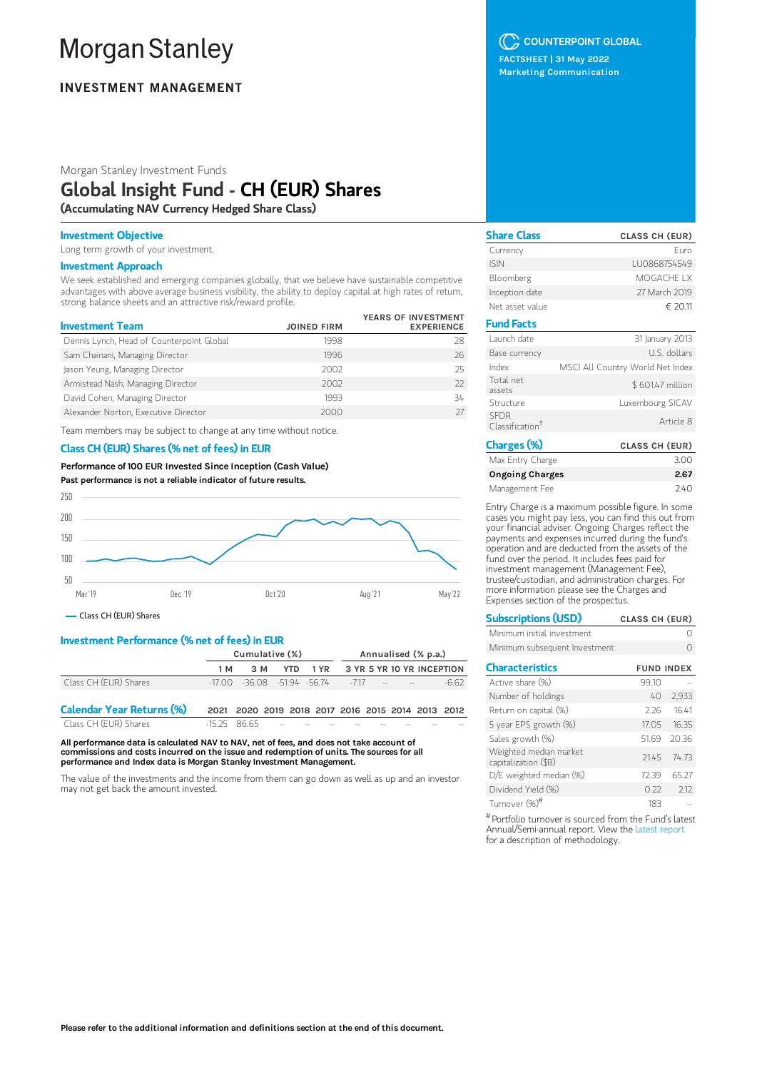# **Morgan Stanley**

# **INVESTMENT MANAGEMENT**

Morgan Stanley Investment Funds

# Global Insight Fund - CH (EUR) Shares

(Accumulating NAV Currency Hedged Share Class)

### Investment Objective

Long term growth of your investment.

#### Investment Approach

We seek established and emerging companies globally, that we believe have sustainable competitive advantages with above average business visibility, the ability to deploy capital at high rates of return, strong balance sheets and an attractive risk/reward profile.

| <b>Investment Team</b>                    | <b>JOINED FIRM</b> | YEARS OF INVESTMENT<br><b>EXPERIENCE</b> |
|-------------------------------------------|--------------------|------------------------------------------|
| Dennis Lynch, Head of Counterpoint Global | 1998               | 28                                       |
| Sam Chainani, Managing Director           | 1996               | 26                                       |
| Jason Yeung, Managing Director            | 2002               | 25                                       |
| Armistead Nash, Managing Director         | 2002               | 77                                       |
| David Cohen, Managing Director            | 1993               | 34                                       |
| Alexander Norton, Executive Director      | 2000               |                                          |

Team members may be subject to change at any time without notice.

### Class CH (EUR) Shares (% net of fees) in EUR

Performance of100 EUR Invested Since Inception (Cash Value) Past performance is not a reliable indicator of future results.



Class CH (EUR) Shares

# Investment Performance (% net of fees) in EUR

|                                  | Cumulative (%) |                                                   |            |      |  | Annualised (% p.a.)        |                           |        |
|----------------------------------|----------------|---------------------------------------------------|------------|------|--|----------------------------|---------------------------|--------|
|                                  | 1 M            | 3 M                                               | <b>YTD</b> | 1 YR |  |                            | 3 YR 5 YR 10 YR INCEPTION |        |
| Class CH (EUR) Shares            |                | $-17.00$ $-36.08$ $-51.94$ $-56.74$ $-7.17$       |            |      |  | the company of the company |                           | $-662$ |
| <b>Calendar Year Returns (%)</b> |                | 2021 2020 2019 2018 2017 2016 2015 2014 2013 2012 |            |      |  |                            |                           |        |
| Class CH (EUR) Shares            | $-1525$ 8665   |                                                   |            |      |  |                            |                           |        |

All performance data is calculated NAV to NAV, net of fees, and does not take account of commissions and costs incurred on the issue and redemption of units. The sources for all performance and Index data is Morgan Stanley Investment Management.

The value of the investments and the income from them can go down as well as up and an investor may not get back the amount invested.

# C COUNTERPOINT GLOBAL

FACTSHEET | 31 May 2022 Marketing Communication

| <b>Share Class</b>                         | <b>CLASS CH (EUR)</b>            |
|--------------------------------------------|----------------------------------|
| Currency                                   | Furo                             |
| <b>ISIN</b>                                | LU0868754549                     |
| Bloomberg                                  | MOGACHE I X                      |
| Inception date                             | 27 March 2019                    |
| Net asset value                            | € 20.11                          |
| <b>Fund Facts</b>                          |                                  |
| Launch date                                | 31 January 2013                  |
| Base currency                              | U.S. dollars                     |
| Index                                      | MSCI All Country World Net Index |
| Total net<br>assets                        | \$601.47 million                 |
| Structure                                  | Luxembourg SICAV                 |
| <b>SFDR</b><br>Classification <sup>†</sup> | Article 8                        |
| Charges (%)                                | <b>CLASS CH (EUR)</b>            |

| Max Entry Charge       | 3.00 |
|------------------------|------|
| <b>Ongoing Charges</b> | 2.67 |
| Management Fee         | 740  |

Entry Charge is a maximum possible figure. In some cases you might pay less, you can find this out from your financial adviser. Ongoing Charges reflect the payments and expenses incurred during the fund's operation and are deducted from the assets of the fund over the period. It includes fees paid for investment management (Management Fee), trustee/custodian, and administration charges. For more information please see the Charges and Expenses section of the prospectus.

| <b>Subscriptions (USD)</b>    | <b>CLASS CH (EUR)</b> |
|-------------------------------|-----------------------|
| Minimum initial investment    |                       |
| Minimum subsequent Investment |                       |

| <b>Characteristics</b>                         | <b>FUND INDEX</b> |       |
|------------------------------------------------|-------------------|-------|
| Active share (%)                               | 99.10             |       |
| Number of holdings                             | 40                | 2,933 |
| Return on capital (%)                          | 226               | 1641  |
| 5 year EPS growth (%)                          | 1705              | 1635  |
| Sales growth (%)                               | 51.69             | 2036  |
| Weighted median market<br>capitalization (\$B) | 2145              | 74.73 |
| D/E weighted median (%)                        | 7239              | 65 27 |
| Dividend Yield (%)                             | 0.22              | 212   |
| Turnover (%)#                                  | 183               |       |

 $^{\#}$ Portfolio turnover is sourced from the Fund's latest Annual/Semi-annual report. View the latest [report](https://www.morganstanley.com/im/msinvf/index.html) for a description of methodology.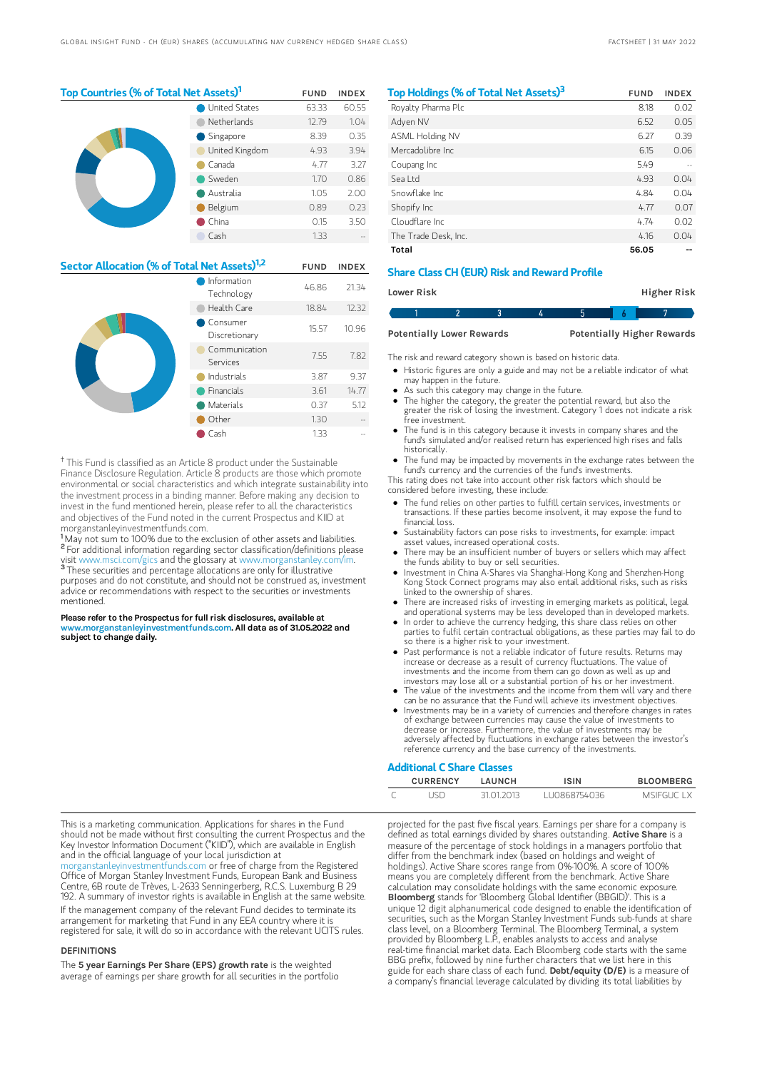| Top Countries (% of Total Net Assets) <sup>1</sup> | <b>FUND</b>          | <b>INDEX</b> |       |
|----------------------------------------------------|----------------------|--------------|-------|
|                                                    | <b>United States</b> | 63.33        | 60.55 |
|                                                    | Netherlands          | 12.79        | 1.04  |
|                                                    | Singapore            | 8.39         | 0.35  |
|                                                    | United Kingdom       | 4.93         | 3.94  |
|                                                    | Canada               | 4.77         | 3.27  |
|                                                    | Sweden               | 1.70         | 0.86  |
|                                                    | Australia            | 1.05         | 2.00  |
|                                                    | Belgium              | 0.89         | 0.23  |
|                                                    | China                | 0.15         | 3.50  |
|                                                    | Cash                 | 1.33         |       |

| Sector Allocation (% of Total Net Assets) <sup>1,2</sup> |                           | <b>FUND</b> | <b>INDEX</b> |
|----------------------------------------------------------|---------------------------|-------------|--------------|
|                                                          | Information<br>Technology | 46.86       | 21.34        |
|                                                          | Health Care               | 18.84       | 12.32        |
|                                                          | Consumer<br>Discretionary | 15.57       | 10.96        |
|                                                          | Communication<br>Services | 7.55        | 7.82         |
|                                                          | Industrials               | 3.87        | 9.37         |
|                                                          | Financials                | 3.61        | 14.77        |
|                                                          | Materials                 | 0.37        | 5.12         |
|                                                          | Other                     | 1.30        |              |
|                                                          | Cash                      | 1.33        |              |

<sup>†</sup> This Fund is classified as an Article 8 product under the Sustainable Finance Disclosure Regulation. Article 8 products are those which promote environmental or social characteristics and which integrate sustainability into the investment process in a binding manner. Before making any decision to invest in the fund mentioned herein, please refer to all the characteristics and objectives of the Fund noted in the current Prospectus and KIID at morganstanleyinvestmentfunds.com.

<sup>1</sup>May not sum to 100% due to the exclusion of other assets and liabilities. <sup>2</sup> For additional information regarding sector classification/definitions please visit www.msci.com/gics and the glossary at www.morganstanley.com/im. <sup>3</sup> These securities and percentage allocations are only for illustrative purposes and do not constitute, and should not be construed as, investment advice or recommendations with respect to the securities or investments mentioned.

Please refer to the Prospectus for full risk disclosures, available at w.morganstanleyinvestmentfunds.com. All data as of 31.05.2022 and subject to change daily.

| Top Holdings (% of Total Net Assets) <sup>3</sup> | <b>FUND</b> | <b>INDEX</b> |
|---------------------------------------------------|-------------|--------------|
| Royalty Pharma Plc                                | 8.18        | 0.02         |
| Adven NV                                          | 6.52        | 0.05         |
| <b>ASML Holding NV</b>                            | 6.27        | 0.39         |
| Mercadolibre Inc.                                 | 6.15        | 0.06         |
| Coupang Inc                                       | 549         |              |
| Seal td                                           | 4.93        | 0.04         |
| Snowflake Inc.                                    | 4.84        | 0.04         |
| Shopify Inc                                       | 4.77        | 0.07         |
| Cloudflare Inc.                                   | 4.74        | 0.02         |
| The Trade Desk, Inc.                              | 4.16        | 0.04         |
| Total                                             | 56.05       |              |

# Share Class CH (EUR) Risk and Reward Profile

| Lower Risk |  |  |  | <b>Higher Risk</b> |  |
|------------|--|--|--|--------------------|--|
|            |  |  |  |                    |  |

Potentially Lower Rewards Potentially Higher Rewards

The risk and reward category shown is based on historic data.

- Historic figures are only a guide and may not be a reliable indicator of what may happen in the future.
- As such this category may change in the future.
- $\bullet$ The higher the category, the greater the potential reward, but also the greater the risk of losing the investment. Category 1 does not indicate a risk .<br>ree investment
- The fund is in this category because it invests in company shares and the fund's simulated and/or realised return has experienced high rises and falls historically.
- The fund may be impacted by movements in the exchange rates between the fund's currency and the currencies of the fund's investments.

This rating does not take into account other risk factors which should be considered before investing, these include:

- The fund relies on other parties to fulfill certain services, investments or transactions. If these parties become insolvent, it may expose the fund to financial loss.
- Sustainability factors can pose risks to investments, for example: impact asset values, increased operational costs.
- There may be an insufficient number of buyers or sellers which may affect the funds ability to buy or sell securities.
- Investment in China A-Shares via Shanghai-Hong Kong and Shenzhen-Hong Kong Stock Connect programs may also entail additional risks, such as risks linked to the ownership of shares.
- There are increased risks of investing in emerging markets as political, legal and operational systems may be less developed than in developed markets.
- In order to achieve the currency hedging, this share class relies on other parties to fulfil certain contractual obligations, as these parties may fail to do so there is a higher risk to your investment.
- Past performance is not a reliable indicator of future results. Returns may increase or decrease as a result of currency fluctuations. The value of investments and the income from them can go down as well as up and investors may lose all or a substantial portion of his or her investment.
- The value of the investments and the income from them will vary and there can be no assurance that the Fund will achieve its investment objectives.
- Investments may be in a variety of currencies and therefore changes in rates of exchange between currencies may cause the value of investments to decrease or increase. Furthermore, the value of investments may be adversely affected by fluctuations in exchange rates between the investor's reference currency and the base currency of the investments.

## Additional C Share Classes

| <b>CURRENCY</b> | LAUNCH     | ISIN         | <b>BLOOMBERG</b> |
|-----------------|------------|--------------|------------------|
| <b>JSD</b>      | 31 01 2013 | LU0868754036 | MSIEGUC LX       |

This is a marketing communication. Applications for shares in the Fund should not be made without first consulting the current Prospectus and the Key Investor Information Document ("KIID"), which are available in English and in the official language of your local jurisdiction at

rganstanleyinvestmentfunds.com or free of charge from the Registered Office of Morgan Stanley Investment Funds, European Bank and Business Centre, 6B route de Trèves, L-2633 Senningerberg, R.C.S. Luxemburg B 29 192. A summary of investor rights is available in English at the same website. If the management company of the relevant Fund decides to terminate its arrangement for marketing that Fund in any EEA country where it is registered for sale, it will do so in accordance with the relevant UCITS rules.

#### DEFINITIONS

The 5 year Earnings Per Share (EPS) growth rate is the weighted average of earnings per share growth for all securities in the portfolio projected for the past five fiscal years. Earnings per share for a company is defined as total earnings divided by shares outstanding. Active Share is a measure of the percentage of stock holdings in a managers portfolio that differ from the benchmark index (based on holdings and weight of holdings). Active Share scores range from 0%-100%. A score of 100% means you are completely different from the benchmark. Active Share calculation may consolidate holdings with the same economic exposure. Bloomberg stands for 'Bloomberg Global Identifier (BBGID)'. This is a unique 12 digit alphanumerical code designed to enable the identification of securities, such as the Morgan Stanley Investment Funds sub-funds at share class level, on a Bloomberg Terminal. The Bloomberg Terminal, a system provided by Bloomberg L.P., enables analysts to access and analyse real-time financial market data. Each Bloomberg code starts with the same BBG prefix, followed by nine further characters that we list here in this guide for each share class of each fund. Debt/equity (D/E) is a measure of a company's financial leverage calculated by dividing its total liabilities by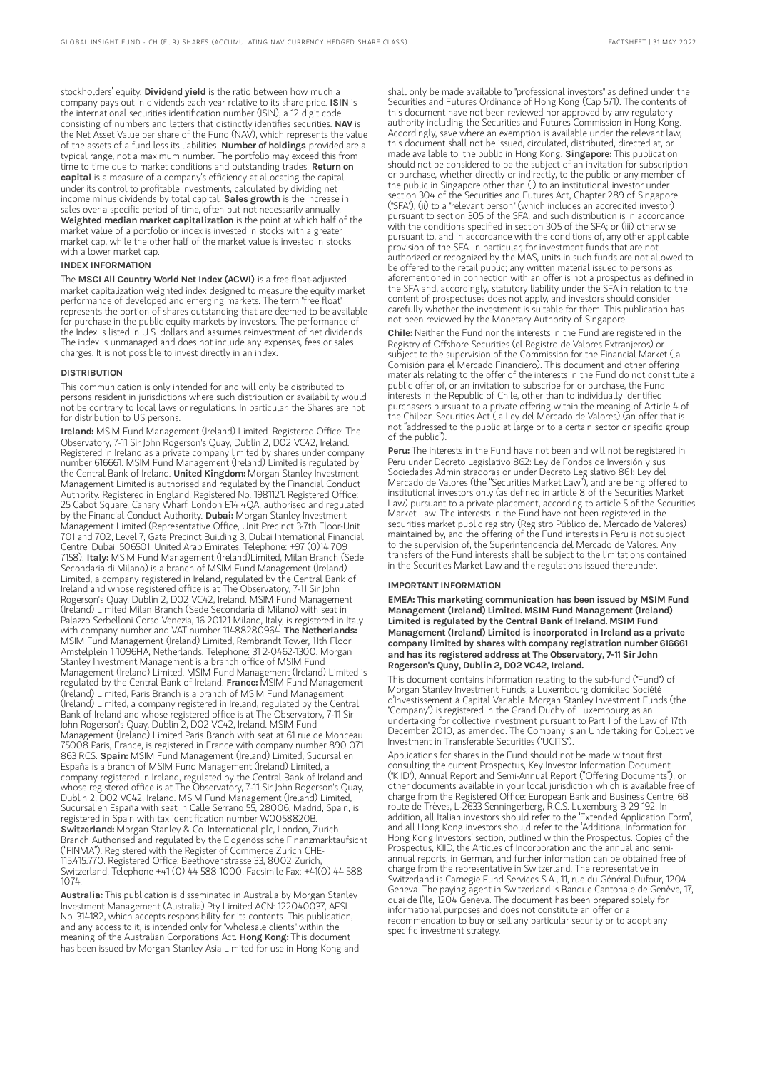stockholders' equity. Dividend yield is the ratio between how much a company pays out in dividends each year relative to its share price. ISIN is the international securities identification number (ISIN), a 12 digit code consisting of numbers and letters that distinctly identifies securities. NAV is the Net Asset Value per share of the Fund (NAV), which represents the value of the assets of a fund less its liabilities. Number of holdings provided are a typical range, not a maximum number. The portfolio may exceed this from time to time due to market conditions and outstanding trades. Return on capital is a measure of a company's efficiency at allocating the capital under its control to profitable investments, calculated by dividing net income minus dividends by total capital. Sales growth is the increase in sales over a specific period of time, often but not necessarily annually. Weighted median market capitalization is the point at which half of the market value of a portfolio or index is invested in stocks with a greater market cap, while the other half of the market value is invested in stocks with a lower market cap.

#### INDEX INFORMATION

The MSCI All Country World Net Index (ACWI) is a free float-adjusted market capitalization weighted index designed to measure the equity market performance of developed and emerging markets. The term "free float" represents the portion of shares outstanding that are deemed to be available for purchase in the public equity markets by investors. The performance of the Index is listed in U.S. dollars and assumes reinvestment of net dividends. The index is unmanaged and does not include any expenses, fees or sales charges. It is not possible to invest directly in an index.

#### **DISTRIBUTION**

This communication is only intended for and will only be distributed to persons resident in jurisdictions where such distribution or availability would not be contrary to local laws or regulations. In particular, the Shares are not for distribution to US persons.

Ireland: MSIM Fund Management (Ireland) Limited. Registered Office: The Observatory, 7-11 Sir John Rogerson's Quay, Dublin 2, D02 VC42, Ireland. Registered in Ireland as a private company limited by shares under company number 616661. MSIM Fund Management (Ireland) Limited is regulated by the Central Bank of Ireland. United Kingdom: Morgan Stanley Investment Management Limited is authorised and regulated by the Financial Conduct Authority. Registered in England. Registered No. 1981121. Registered Office: 25 Cabot Square, Canary Wharf, London E14 4QA, authorised and regulated by the Financial Conduct Authority. Dubai: Morgan Stanley Investment Management Limited (Representative Office, Unit Precinct 3-7th Floor-Unit 701 and 702, Level 7, Gate Precinct Building 3, Dubai International Financial Centre, Dubai, 506501, United Arab Emirates. Telephone: +97 (0)14 709 7158). Italy: MSIM Fund Management (Ireland)Limited, Milan Branch (Sede Secondaria di Milano) is a branch of MSIM Fund Management (Ireland) Limited, a company registered in Ireland, regulated by the Central Bank of Ireland and whose registered office is at The Observatory, 7-11 Sir John Rogerson's Quay, Dublin 2, D02 VC42, Ireland. MSIM Fund Management (Ireland) Limited Milan Branch (Sede Secondaria di Milano) with seat in Palazzo Serbelloni Corso Venezia, 16 20121 Milano, Italy, is registered in Italy with company number and VAT number 11488280964. The Netherlands: MSIM Fund Management (Ireland) Limited, Rembrandt Tower, 11th Floor Amstelplein 1 1096HA, Netherlands. Telephone: 31 2-0462-1300. Morgan Stanley Investment Management is a branch office of MSIM Fund Management (Ireland) Limited. MSIM Fund Management (Ireland) Limited is regulated by the Central Bank of Ireland. France: MSIM Fund Management (Ireland) Limited, Paris Branch is a branch of MSIM Fund Management (Ireland) Limited, a company registered in Ireland, regulated by the Central Bank of Ireland and whose registered office is at The Observatory, 7-11 Sir John Rogerson's Quay, Dublin 2, D02 VC42, Ireland. MSIM Fund Management (Ireland) Limited Paris Branch with seat at 61 rue de Monceau 75008 Paris, France, is registered in France with company number 890 071 863 RCS. Spain: MSIM Fund Management (Ireland) Limited, Sucursal en España is a branch of MSIM Fund Management (Ireland) Limited, a company registered in Ireland, regulated by the Central Bank of Ireland and whose registered office is at The Observatory, 7-11 Sir John Rogerson's Quay, Dublin 2, D02 VC42, Ireland. MSIM Fund Management (Ireland) Limited, Sucursal en España with seat in Calle Serrano 55, 28006, Madrid, Spain, is registered in Spain with tax identification number W0058820B. Switzerland: Morgan Stanley & Co. International plc, London, Zurich Branch Authorised and regulated by the Eidgenössische Finanzmarktaufsicht ("FINMA"). Registered with the Register of Commerce Zurich CHE-115.415.770. Registered Office: Beethovenstrasse 33, 8002 Zurich, Switzerland, Telephone +41 (0) 44 588 1000. Facsimile Fax: +41(0) 44 588 1074.

Australia: This publication is disseminated in Australia by Morgan Stanley Investment Management (Australia) Pty Limited ACN: 122040037, AFSL No. 314182, which accepts responsibility for its contents. This publication, and any access to it, is intended only for "wholesale clients" within the meaning of the Australian Corporations Act. Hong Kong: This document has been issued by Morgan Stanley Asia Limited for use in Hong Kong and

shall only be made available to "professional investors" as defined under the Securities and Futures Ordinance of Hong Kong (Cap 571). The contents of this document have not been reviewed nor approved by any regulatory authority including the Securities and Futures Commission in Hong Kong. Accordingly, save where an exemption is available under the relevant law, this document shall not be issued, circulated, distributed, directed at, or made available to, the public in Hong Kong. Singapore: This publication should not be considered to be the subject of an invitation for subscription or purchase, whether directly or indirectly, to the public or any member of the public in Singapore other than (i) to an institutional investor under section 304 of the Securities and Futures Act, Chapter 289 of Singapore ("SFA"), (ii) to a "relevant person" (which includes an accredited investor) pursuant to section 305 of the SFA, and such distribution is in accordance with the conditions specified in section 305 of the SFA; or (iii) otherwise pursuant to, and in accordance with the conditions of, any other applicable provision of the SFA. In particular, for investment funds that are not authorized or recognized by the MAS, units in such funds are not allowed to be offered to the retail public; any written material issued to persons as aforementioned in connection with an offer is not a prospectus as defined in the SFA and, accordingly, statutory liability under the SFA in relation to the content of prospectuses does not apply, and investors should consider carefully whether the investment is suitable for them. This publication has not been reviewed by the Monetary Authority of Singapore.

Chile: Neither the Fund nor the interests in the Fund are registered in the Registry of Offshore Securities (el Registro de Valores Extranjeros) or subject to the supervision of the Commission for the Financial Market (la Comisión para el Mercado Financiero). This document and other offering materials relating to the offer of the interests in the Fund do not constitute a public offer of, or an invitation to subscribe for or purchase, the Fund interests in the Republic of Chile, other than to individually identified purchasers pursuant to a private offering within the meaning of Article 4 of the Chilean Securities Act (la Ley del Mercado de Valores) (an offer that is not "addressed to the public at large or to a certain sector or specific group of the public").

Peru: The interests in the Fund have not been and will not be registered in Peru under Decreto Legislativo 862: Ley de Fondos de Inversión y sus Sociedades Administradoras or under Decreto Legislativo 861: Ley del Mercado de Valores (the "Securities Market Law"), and are being offered to institutional investors only (as defined in article 8 of the Securities Market Law) pursuant to a private placement, according to article 5 of the Securities Market Law. The interests in the Fund have not been registered in the securities market public registry (Registro Público del Mercado de Valores) maintained by, and the offering of the Fund interests in Peru is not subject to the supervision of, the Superintendencia del Mercado de Valores. Any transfers of the Fund interests shall be subject to the limitations contained in the Securities Market Law and the regulations issued thereunder.

#### IMPORTANT INFORMATION

EMEA: This marketing communication has been issued by MSIM Fund Management (Ireland) Limited. MSIM Fund Management (Ireland) Limited is regulated by the Central Bank of Ireland. MSIM Fund Management (Ireland) Limited is incorporated in Ireland as a private company limited by shares with company registration number 616661 and has its registered address at The Observatory, 7-11 Sir John Rogerson's Quay, Dublin 2, D02 VC42, Ireland.

This document contains information relating to the sub-fund ("Fund") of Morgan Stanley Investment Funds, a Luxembourg domiciled Société d'Investissement à Capital Variable. Morgan Stanley Investment Funds (the "Company") is registered in the Grand Duchy of Luxembourg as an undertaking for collective investment pursuant to Part 1 of the Law of 17th December 2010, as amended. The Company is an Undertaking for Collective Investment in Transferable Securities ("UCITS").

Applications for shares in the Fund should not be made without first consulting the current Prospectus, Key Investor Information Document ("KIID"), Annual Report and Semi-Annual Report ("Offering Documents"), or other documents available in your local jurisdiction which is available free of charge from the Registered Office: European Bank and Business Centre, 6B route de Trèves, L-2633 Senningerberg, R.C.S. Luxemburg B 29 192. In addition, all Italian investors should refer to the 'Extended Application Form', and all Hong Kong investors should refer to the 'Additional Information for Hong Kong Investors' section, outlined within the Prospectus. Copies of the Prospectus, KIID, the Articles of Incorporation and the annual and semiannual reports, in German, and further information can be obtained free of charge from the representative in Switzerland. The representative in Switzerland is Carnegie Fund Services S.A., 11, rue du Général-Dufour, 1204 Geneva. The paying agent in Switzerland is Banque Cantonale de Genève, 17, quai de l'Ile, 1204 Geneva. The document has been prepared solely for informational purposes and does not constitute an offer or a recommendation to buy or sell any particular security or to adopt any specific investment strategy.